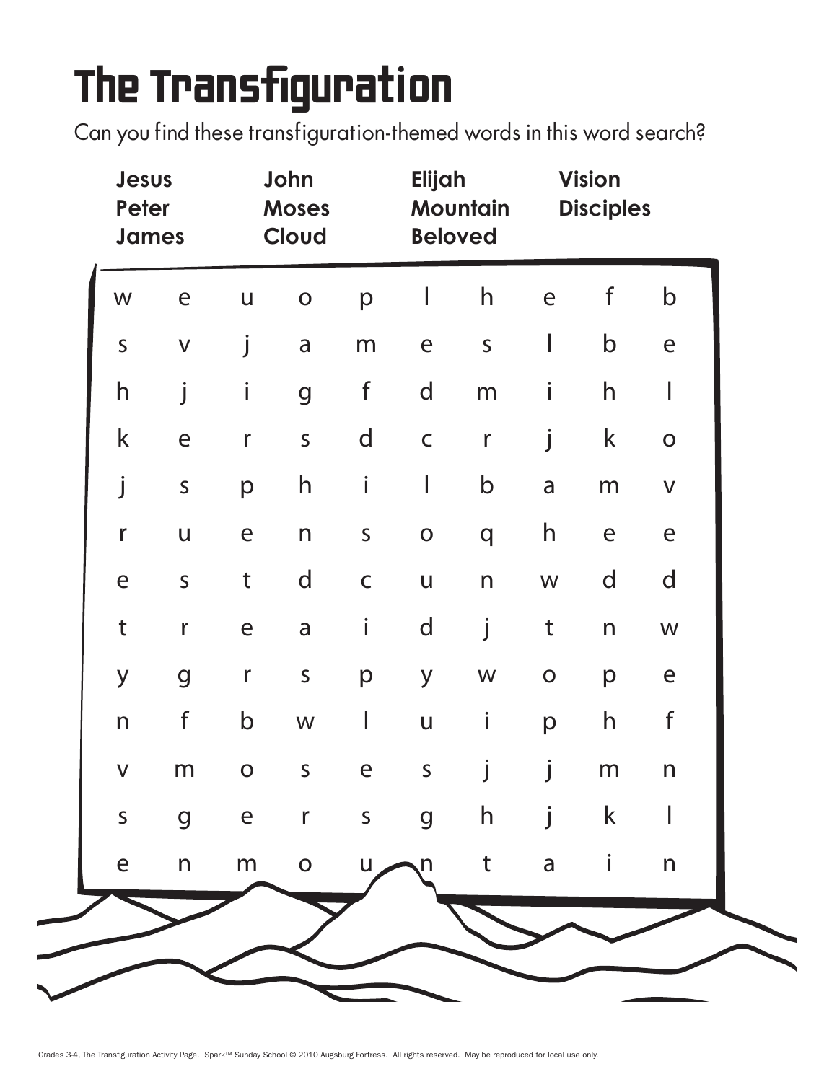## The Transfiguration

Can you find these transfiguration-themed words in this word search?

|                         | Jesus<br>Peter<br><b>James</b> |              | John<br><b>Moses</b><br>Cloud |              | Elijah<br>Mountain<br><b>Beloved</b> |                         | <b>Vision</b><br><b>Disciples</b> |              |                           |
|-------------------------|--------------------------------|--------------|-------------------------------|--------------|--------------------------------------|-------------------------|-----------------------------------|--------------|---------------------------|
| W                       | $\mathsf{e}$                   | $\bigcup$    | $\mathbf O$                   | p            | I                                    | h                       | e                                 | f            | $\mathsf b$               |
| $\mathsf S$             | $\mathsf V$                    | j            | a                             | m            | e                                    | $\mathsf{S}$            | $\mathbb{I}$                      | $\mathsf b$  | $\mathsf{e}$              |
| $\mathsf{h}$            | j                              | $\mathbf{i}$ | $\overline{g}$                | $\mathsf f$  | $\mathsf{d}$                         | m                       | i                                 | $\mathsf{h}$ | I                         |
| $\mathsf k$             | $\mathsf{e}$                   | $\mathsf r$  | $\mathsf{S}$                  | $\mathsf{d}$ | $\mathsf C$                          | $\mathsf{r}$            | j                                 | $\mathsf k$  | $\mathbf O$               |
|                         | $\mathsf{S}$                   | p            | $\mathsf{h}$                  | i            | I                                    | $\mathsf b$             | a                                 | m            | $\mathsf{V}$              |
| $\mathsf{r}$            | $\mathsf{U}$                   | e            | n                             | $\mathsf S$  | $\mathbf O$                          | q                       | $\mathsf{h}$                      | $\mathsf{e}$ | $\mathsf{e}$              |
| e                       | $\mathsf{S}$                   | t            | $\mathsf{d}$                  | $\mathsf C$  | $\sf U$                              | $\overline{\mathsf{n}}$ | ${\sf W}$                         | $\mathsf{d}$ | $\mathsf{d}$              |
| $\mathsf t$             | $\mathsf{r}$                   | e            | a                             | İ            | d                                    | j                       | $\mathsf t$                       | $\mathsf{n}$ | ${\sf W}$                 |
| y                       | $\mathbf g$                    | $\mathsf r$  | $\mathsf S$                   | p            | y                                    | ${\sf W}$               | $\mathbf O$                       | p            | $\epsilon$                |
| n                       | $\mathsf f$                    | $\mathsf b$  | W                             | I            | $\mathsf{U}$                         | İ                       | p                                 | $\mathsf{h}$ | $\mathsf f$               |
| $\overline{\mathsf{V}}$ | m                              | $\mathbf O$  | $\mathsf S$                   | $\epsilon$   | $\mathsf{S}$                         |                         |                                   | m            | $\mathsf{n}$              |
| $\mathsf{S}$            | $\overline{g}$                 |              | e r s g                       |              |                                      | h                       |                                   | $\mathsf k$  | $\mathbf{I}$              |
| $\mathsf{e}$            | $\mathsf{n}$                   | m            | $\mathbf O$                   | U            | n,                                   | $\mathsf{t}$            | $\mathsf{a}$                      | $\mathbf{i}$ | $\boldsymbol{\mathsf{n}}$ |
|                         |                                |              |                               |              |                                      |                         |                                   |              |                           |